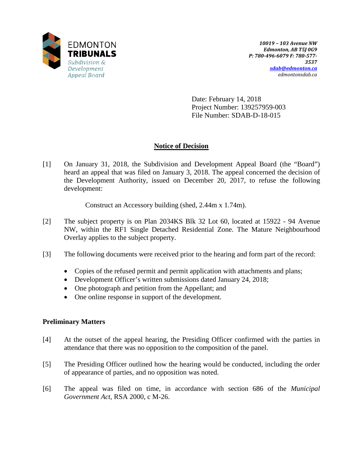

Date: February 14, 2018 Project Number: 139257959-003 File Number: SDAB-D-18-015

# **Notice of Decision**

[1] On January 31, 2018, the Subdivision and Development Appeal Board (the "Board") heard an appeal that was filed on January 3, 2018. The appeal concerned the decision of the Development Authority, issued on December 20, 2017, to refuse the following development:

Construct an Accessory building (shed, 2.44m x 1.74m).

- [2] The subject property is on Plan 2034KS Blk 32 Lot 60, located at 15922 94 Avenue NW, within the RF1 Single Detached Residential Zone. The Mature Neighbourhood Overlay applies to the subject property.
- [3] The following documents were received prior to the hearing and form part of the record:
	- Copies of the refused permit and permit application with attachments and plans;
	- Development Officer's written submissions dated January 24, 2018;
	- One photograph and petition from the Appellant; and
	- One online response in support of the development.

# **Preliminary Matters**

- [4] At the outset of the appeal hearing, the Presiding Officer confirmed with the parties in attendance that there was no opposition to the composition of the panel.
- [5] The Presiding Officer outlined how the hearing would be conducted, including the order of appearance of parties, and no opposition was noted.
- [6] The appeal was filed on time, in accordance with section 686 of the *Municipal Government Act*, RSA 2000, c M-26.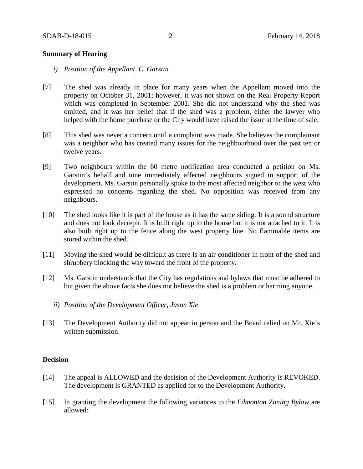## **Summary of Hearing**

- *i) Position of the Appellant, C. Garstin*
- [7] The shed was already in place for many years when the Appellant moved into the property on October 31, 2001; however, it was not shown on the Real Property Report which was completed in September 2001. She did not understand why the shed was omitted, and it was her belief that if the shed was a problem, either the lawyer who helped with the home purchase or the City would have raised the issue at the time of sale.
- [8] This shed was never a concern until a complaint was made. She believes the complainant was a neighbor who has created many issues for the neighbourhood over the past ten or twelve years.
- [9] Two neighbours within the 60 metre notification area conducted a petition on Ms. Garstin's behalf and nine immediately affected neighbours signed in support of the development. Ms. Garstin personally spoke to the most affected neighbor to the west who expressed no concerns regarding the shed. No opposition was received from any neighbours.
- [10] The shed looks like it is part of the house as it has the same siding. It is a sound structure and does not look decrepit. It is built right up to the house but it is not attached to it. It is also built right up to the fence along the west property line. No flammable items are stored within the shed.
- [11] Moving the shed would be difficult as there is an air conditioner in front of the shed and shrubbery blocking the way toward the front of the property.
- [12] Ms. Garstin understands that the City has regulations and bylaws that must be adhered to but given the above facts she does not believe the shed is a problem or harming anyone.
	- *ii) Position of the Development Officer, Jason Xie*
- [13] The Development Authority did not appear in person and the Board relied on Mr. Xie's written submission.

#### **Decision**

- [14] The appeal is ALLOWED and the decision of the Development Authority is REVOKED. The development is GRANTED as applied for to the Development Authority.
- [15] In granting the development the following variances to the *Edmonton Zoning Bylaw* are allowed: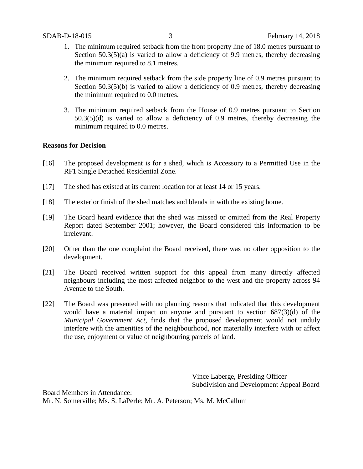- 1. The minimum required setback from the front property line of 18.0 metres pursuant to Section 50.3(5)(a) is varied to allow a deficiency of 9.9 metres, thereby decreasing the minimum required to 8.1 metres.
- 2. The minimum required setback from the side property line of 0.9 metres pursuant to Section 50.3(5)(b) is varied to allow a deficiency of 0.9 metres, thereby decreasing the minimum required to 0.0 metres.
- 3. The minimum required setback from the House of 0.9 metres pursuant to Section 50.3(5)(d) is varied to allow a deficiency of 0.9 metres, thereby decreasing the minimum required to 0.0 metres.

## **Reasons for Decision**

- [16] The proposed development is for a shed, which is Accessory to a Permitted Use in the RF1 Single Detached Residential Zone.
- [17] The shed has existed at its current location for at least 14 or 15 years.
- [18] The exterior finish of the shed matches and blends in with the existing home.
- [19] The Board heard evidence that the shed was missed or omitted from the Real Property Report dated September 2001; however, the Board considered this information to be irrelevant.
- [20] Other than the one complaint the Board received, there was no other opposition to the development.
- [21] The Board received written support for this appeal from many directly affected neighbours including the most affected neighbor to the west and the property across 94 Avenue to the South.
- [22] The Board was presented with no planning reasons that indicated that this development would have a material impact on anyone and pursuant to section 687(3)(d) of the *Municipal Government Act*, finds that the proposed development would not unduly interfere with the amenities of the neighbourhood, nor materially interfere with or affect the use, enjoyment or value of neighbouring parcels of land.

Vince Laberge, Presiding Officer Subdivision and Development Appeal Board

Board Members in Attendance: Mr. N. Somerville; Ms. S. LaPerle; Mr. A. Peterson; Ms. M. McCallum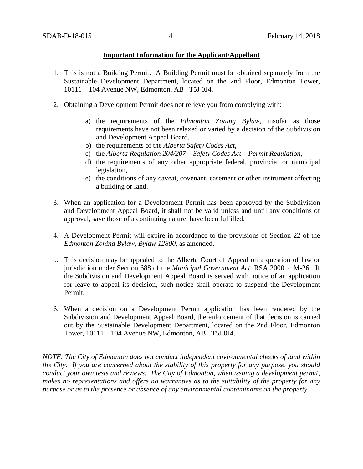## **Important Information for the Applicant/Appellant**

- 1. This is not a Building Permit. A Building Permit must be obtained separately from the Sustainable Development Department, located on the 2nd Floor, Edmonton Tower, 10111 – 104 Avenue NW, Edmonton, AB T5J 0J4.
- 2. Obtaining a Development Permit does not relieve you from complying with:
	- a) the requirements of the *Edmonton Zoning Bylaw*, insofar as those requirements have not been relaxed or varied by a decision of the Subdivision and Development Appeal Board,
	- b) the requirements of the *Alberta Safety Codes Act*,
	- c) the *Alberta Regulation 204/207 – Safety Codes Act – Permit Regulation*,
	- d) the requirements of any other appropriate federal, provincial or municipal legislation,
	- e) the conditions of any caveat, covenant, easement or other instrument affecting a building or land.
- 3. When an application for a Development Permit has been approved by the Subdivision and Development Appeal Board, it shall not be valid unless and until any conditions of approval, save those of a continuing nature, have been fulfilled.
- 4. A Development Permit will expire in accordance to the provisions of Section 22 of the *Edmonton Zoning Bylaw, Bylaw 12800*, as amended.
- 5. This decision may be appealed to the Alberta Court of Appeal on a question of law or jurisdiction under Section 688 of the *Municipal Government Act*, RSA 2000, c M-26. If the Subdivision and Development Appeal Board is served with notice of an application for leave to appeal its decision, such notice shall operate to suspend the Development Permit.
- 6. When a decision on a Development Permit application has been rendered by the Subdivision and Development Appeal Board, the enforcement of that decision is carried out by the Sustainable Development Department, located on the 2nd Floor, Edmonton Tower, 10111 – 104 Avenue NW, Edmonton, AB T5J 0J4.

*NOTE: The City of Edmonton does not conduct independent environmental checks of land within the City. If you are concerned about the stability of this property for any purpose, you should conduct your own tests and reviews. The City of Edmonton, when issuing a development permit, makes no representations and offers no warranties as to the suitability of the property for any purpose or as to the presence or absence of any environmental contaminants on the property.*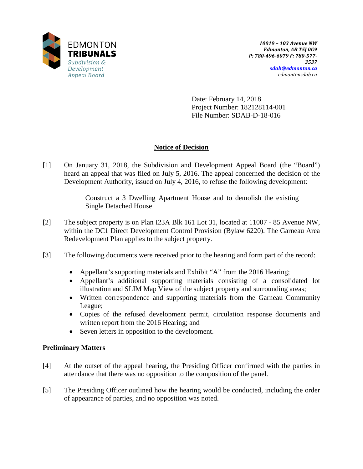

Date: February 14, 2018 Project Number: 182128114-001 File Number: SDAB-D-18-016

# **Notice of Decision**

[1] On January 31, 2018, the Subdivision and Development Appeal Board (the "Board") heard an appeal that was filed on July 5, 2016. The appeal concerned the decision of the Development Authority, issued on July 4, 2016, to refuse the following development:

> Construct a 3 Dwelling Apartment House and to demolish the existing Single Detached House

- [2] The subject property is on Plan I23A Blk 161 Lot 31, located at 11007 85 Avenue NW, within the DC1 Direct Development Control Provision (Bylaw 6220). The Garneau Area Redevelopment Plan applies to the subject property.
- [3] The following documents were received prior to the hearing and form part of the record:
	- Appellant's supporting materials and Exhibit "A" from the 2016 Hearing;
	- Appellant's additional supporting materials consisting of a consolidated lot illustration and SLIM Map View of the subject property and surrounding areas;
	- Written correspondence and supporting materials from the Garneau Community League;
	- Copies of the refused development permit, circulation response documents and written report from the 2016 Hearing; and
	- Seven letters in opposition to the development.

# **Preliminary Matters**

- [4] At the outset of the appeal hearing, the Presiding Officer confirmed with the parties in attendance that there was no opposition to the composition of the panel.
- [5] The Presiding Officer outlined how the hearing would be conducted, including the order of appearance of parties, and no opposition was noted.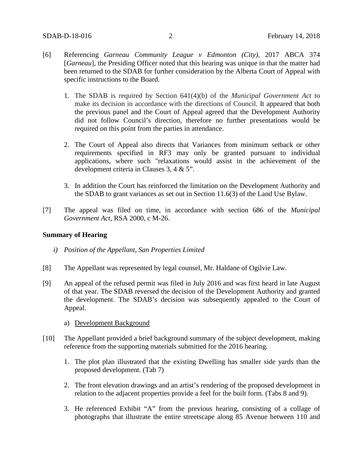- [6] Referencing *Garneau Community League v Edmonton (City),* 2017 ABCA 374 [*Garneau*], the Presiding Officer noted that this hearing was unique in that the matter had been returned to the SDAB for further consideration by the Alberta Court of Appeal with specific instructions to the Board.
	- 1. The SDAB is required by Section 641(4)(b) of the *Municipal Government Act* to make its decision in accordance with the directions of Council. It appeared that both the previous panel and the Court of Appeal agreed that the Development Authority did not follow Council's direction, therefore no further presentations would be required on this point from the parties in attendance.
	- 2. The Court of Appeal also directs that Variances from minimum setback or other requirements specified in RF3 may only be granted pursuant to individual applications, where such "relaxations would assist in the achievement of the development criteria in Clauses 3, 4 & 5".
	- 3. In addition the Court has reinforced the limitation on the Development Authority and the SDAB to grant variances as set out in Section 11.6(3) of the Land Use Bylaw.
- [7] The appeal was filed on time, in accordance with section 686 of the *Municipal Government Act*, RSA 2000, c M-26.

# **Summary of Hearing**

- *i) Position of the Appellant, San Properties Limited*
- [8] The Appellant was represented by legal counsel, Mr. Haldane of Ogilvie Law.
- [9] An appeal of the refused permit was filed in July 2016 and was first heard in late August of that year. The SDAB reversed the decision of the Development Authority and granted the development. The SDAB's decision was subsequently appealed to the Court of Appeal.
	- a) Development Background
- [10] The Appellant provided a brief background summary of the subject development, making reference from the supporting materials submitted for the 2016 hearing.
	- 1. The plot plan illustrated that the existing Dwelling has smaller side yards than the proposed development. (Tab 7)
	- 2. The front elevation drawings and an artist's rendering of the proposed development in relation to the adjacent properties provide a feel for the built form. (Tabs 8 and 9).
	- 3. He referenced Exhibit "A" from the previous hearing, consisting of a collage of photographs that illustrate the entire streetscape along 85 Avenue between 110 and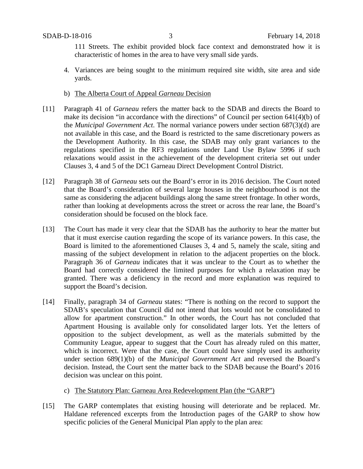111 Streets. The exhibit provided block face context and demonstrated how it is characteristic of homes in the area to have very small side yards.

- 4. Variances are being sought to the minimum required site width, site area and side yards.
- b) The Alberta Court of Appeal *Garneau* Decision
- [11] Paragraph 41 of *Garneau* refers the matter back to the SDAB and directs the Board to make its decision "in accordance with the directions" of Council per section 641(4)(b) of the *Municipal Government Act*. The normal variance powers under section 687(3)(d) are not available in this case, and the Board is restricted to the same discretionary powers as the Development Authority. In this case, the SDAB may only grant variances to the regulations specified in the RF3 regulations under Land Use Bylaw 5996 if such relaxations would assist in the achievement of the development criteria set out under Clauses 3, 4 and 5 of the DC1 Garneau Direct Development Control District.
- [12] Paragraph 38 of *Garneau* sets out the Board's error in its 2016 decision. The Court noted that the Board's consideration of several large houses in the neighbourhood is not the same as considering the adjacent buildings along the same street frontage. In other words, rather than looking at developments across the street or across the rear lane, the Board's consideration should be focused on the block face.
- [13] The Court has made it very clear that the SDAB has the authority to hear the matter but that it must exercise caution regarding the scope of its variance powers. In this case, the Board is limited to the aforementioned Clauses 3, 4 and 5, namely the scale, siting and massing of the subject development in relation to the adjacent properties on the block. Paragraph 36 of *Garneau* indicates that it was unclear to the Court as to whether the Board had correctly considered the limited purposes for which a relaxation may be granted. There was a deficiency in the record and more explanation was required to support the Board's decision.
- [14] Finally, paragraph 34 of *Garneau* states: "There is nothing on the record to support the SDAB's speculation that Council did not intend that lots would not be consolidated to allow for apartment construction." In other words, the Court has not concluded that Apartment Housing is available only for consolidated larger lots. Yet the letters of opposition to the subject development, as well as the materials submitted by the Community League, appear to suggest that the Court has already ruled on this matter, which is incorrect. Were that the case, the Court could have simply used its authority under section 689(1)(b) of the *Municipal Government Act* and reversed the Board's decision. Instead, the Court sent the matter back to the SDAB because the Board's 2016 decision was unclear on this point.
	- c) The Statutory Plan: Garneau Area Redevelopment Plan (the "GARP")
- [15] The GARP contemplates that existing housing will deteriorate and be replaced. Mr. Haldane referenced excerpts from the Introduction pages of the GARP to show how specific policies of the General Municipal Plan apply to the plan area: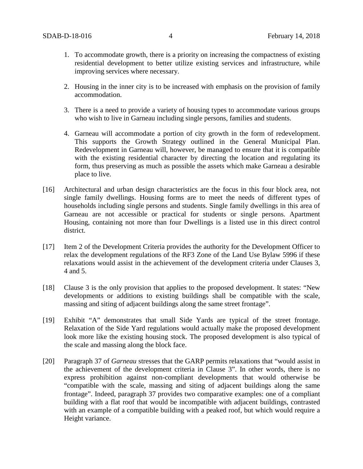- 1. To accommodate growth, there is a priority on increasing the compactness of existing residential development to better utilize existing services and infrastructure, while improving services where necessary.
- 2. Housing in the inner city is to be increased with emphasis on the provision of family accommodation.
- 3. There is a need to provide a variety of housing types to accommodate various groups who wish to live in Garneau including single persons, families and students.
- 4. Garneau will accommodate a portion of city growth in the form of redevelopment. This supports the Growth Strategy outlined in the General Municipal Plan. Redevelopment in Garneau will, however, be managed to ensure that it is compatible with the existing residential character by directing the location and regulating its form, thus preserving as much as possible the assets which make Garneau a desirable place to live.
- [16] Architectural and urban design characteristics are the focus in this four block area, not single family dwellings. Housing forms are to meet the needs of different types of households including single persons and students. Single family dwellings in this area of Garneau are not accessible or practical for students or single persons. Apartment Housing, containing not more than four Dwellings is a listed use in this direct control district.
- [17] Item 2 of the Development Criteria provides the authority for the Development Officer to relax the development regulations of the RF3 Zone of the Land Use Bylaw 5996 if these relaxations would assist in the achievement of the development criteria under Clauses 3, 4 and 5.
- [18] Clause 3 is the only provision that applies to the proposed development. It states: "New developments or additions to existing buildings shall be compatible with the scale, massing and siting of adjacent buildings along the same street frontage".
- [19] Exhibit "A" demonstrates that small Side Yards are typical of the street frontage. Relaxation of the Side Yard regulations would actually make the proposed development look more like the existing housing stock. The proposed development is also typical of the scale and massing along the block face.
- [20] Paragraph 37 of *Garneau* stresses that the GARP permits relaxations that "would assist in the achievement of the development criteria in Clause 3". In other words, there is no express prohibition against non-compliant developments that would otherwise be "compatible with the scale, massing and siting of adjacent buildings along the same frontage". Indeed, paragraph 37 provides two comparative examples: one of a compliant building with a flat roof that would be incompatible with adjacent buildings, contrasted with an example of a compatible building with a peaked roof, but which would require a Height variance.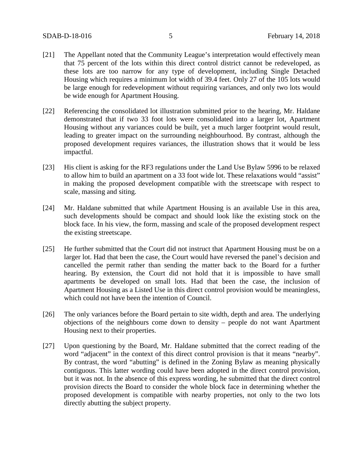- [21] The Appellant noted that the Community League's interpretation would effectively mean that 75 percent of the lots within this direct control district cannot be redeveloped, as these lots are too narrow for any type of development, including Single Detached Housing which requires a minimum lot width of 39.4 feet. Only 27 of the 105 lots would be large enough for redevelopment without requiring variances, and only two lots would be wide enough for Apartment Housing.
- [22] Referencing the consolidated lot illustration submitted prior to the hearing, Mr. Haldane demonstrated that if two 33 foot lots were consolidated into a larger lot, Apartment Housing without any variances could be built, yet a much larger footprint would result, leading to greater impact on the surrounding neighbourhood. By contrast, although the proposed development requires variances, the illustration shows that it would be less impactful.
- [23] His client is asking for the RF3 regulations under the Land Use Bylaw 5996 to be relaxed to allow him to build an apartment on a 33 foot wide lot. These relaxations would "assist" in making the proposed development compatible with the streetscape with respect to scale, massing and siting.
- [24] Mr. Haldane submitted that while Apartment Housing is an available Use in this area, such developments should be compact and should look like the existing stock on the block face. In his view, the form, massing and scale of the proposed development respect the existing streetscape.
- [25] He further submitted that the Court did not instruct that Apartment Housing must be on a larger lot. Had that been the case, the Court would have reversed the panel's decision and cancelled the permit rather than sending the matter back to the Board for a further hearing. By extension, the Court did not hold that it is impossible to have small apartments be developed on small lots. Had that been the case, the inclusion of Apartment Housing as a Listed Use in this direct control provision would be meaningless, which could not have been the intention of Council.
- [26] The only variances before the Board pertain to site width, depth and area. The underlying objections of the neighbours come down to density – people do not want Apartment Housing next to their properties.
- [27] Upon questioning by the Board, Mr. Haldane submitted that the correct reading of the word "adjacent" in the context of this direct control provision is that it means "nearby". By contrast, the word "abutting" is defined in the Zoning Bylaw as meaning physically contiguous. This latter wording could have been adopted in the direct control provision, but it was not. In the absence of this express wording, he submitted that the direct control provision directs the Board to consider the whole block face in determining whether the proposed development is compatible with nearby properties, not only to the two lots directly abutting the subject property.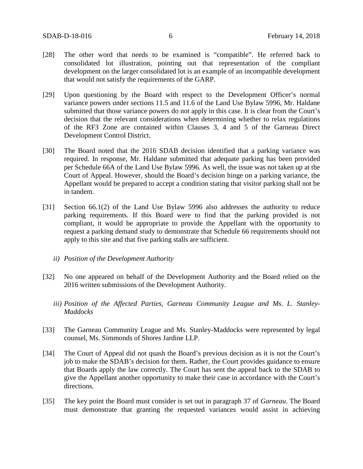- [28] The other word that needs to be examined is "compatible". He referred back to consolidated lot illustration, pointing out that representation of the compliant development on the larger consolidated lot is an example of an incompatible development that would not satisfy the requirements of the GARP.
- [29] Upon questioning by the Board with respect to the Development Officer's normal variance powers under sections 11.5 and 11.6 of the Land Use Bylaw 5996, Mr. Haldane submitted that those variance powers do not apply in this case. It is clear from the Court's decision that the relevant considerations when determining whether to relax regulations of the RF3 Zone are contained within Clauses 3, 4 and 5 of the Garneau Direct Development Control District.
- [30] The Board noted that the 2016 SDAB decision identified that a parking variance was required. In response, Mr. Haldane submitted that adequate parking has been provided per Schedule 66A of the Land Use Bylaw 5996. As well, the issue was not taken up at the Court of Appeal. However, should the Board's decision hinge on a parking variance, the Appellant would be prepared to accept a condition stating that visitor parking shall not be in tandem.
- [31] Section 66.1(2) of the Land Use Bylaw 5996 also addresses the authority to reduce parking requirements. If this Board were to find that the parking provided is not compliant, it would be appropriate to provide the Appellant with the opportunity to request a parking demand study to demonstrate that Schedule 66 requirements should not apply to this site and that five parking stalls are sufficient.
	- *ii) Position of the Development Authority*
- [32] No one appeared on behalf of the Development Authority and the Board relied on the 2016 written submissions of the Development Authority.
	- *iii) Position of the Affected Parties, Garneau Community League and Ms. L. Stanley-Maddocks*
- [33] The Garneau Community League and Ms. Stanley-Maddocks were represented by legal counsel, Ms. Simmonds of Shores Jardine LLP.
- [34] The Court of Appeal did not quash the Board's previous decision as it is not the Court's job to make the SDAB's decision for them. Rather, the Court provides guidance to ensure that Boards apply the law correctly. The Court has sent the appeal back to the SDAB to give the Appellant another opportunity to make their case in accordance with the Court's directions.
- [35] The key point the Board must consider is set out in paragraph 37 of *Garneau*. The Board must demonstrate that granting the requested variances would assist in achieving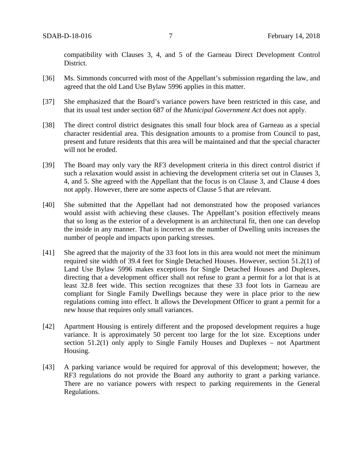compatibility with Clauses 3, 4, and 5 of the Garneau Direct Development Control District.

- [36] Ms. Simmonds concurred with most of the Appellant's submission regarding the law, and agreed that the old Land Use Bylaw 5996 applies in this matter.
- [37] She emphasized that the Board's variance powers have been restricted in this case, and that its usual test under section 687 of the *Municipal Government Act* does not apply.
- [38] The direct control district designates this small four block area of Garneau as a special character residential area. This designation amounts to a promise from Council to past, present and future residents that this area will be maintained and that the special character will not be eroded.
- [39] The Board may only vary the RF3 development criteria in this direct control district if such a relaxation would assist in achieving the development criteria set out in Clauses 3, 4, and 5. She agreed with the Appellant that the focus is on Clause 3, and Clause 4 does not apply. However, there are some aspects of Clause 5 that are relevant.
- [40] She submitted that the Appellant had not demonstrated how the proposed variances would assist with achieving these clauses. The Appellant's position effectively means that so long as the exterior of a development is an architectural fit, then one can develop the inside in any manner. That is incorrect as the number of Dwelling units increases the number of people and impacts upon parking stresses.
- [41] She agreed that the majority of the 33 foot lots in this area would not meet the minimum required site width of 39.4 feet for Single Detached Houses. However, section 51.2(1) of Land Use Bylaw 5996 makes exceptions for Single Detached Houses and Duplexes, directing that a development officer shall not refuse to grant a permit for a lot that is at least 32.8 feet wide. This section recognizes that these 33 foot lots in Garneau are compliant for Single Family Dwellings because they were in place prior to the new regulations coming into effect. It allows the Development Officer to grant a permit for a new house that requires only small variances.
- [42] Apartment Housing is entirely different and the proposed development requires a huge variance. It is approximately 50 percent too large for the lot size. Exceptions under section 51.2(1) only apply to Single Family Houses and Duplexes – not Apartment Housing.
- [43] A parking variance would be required for approval of this development; however, the RF3 regulations do not provide the Board any authority to grant a parking variance. There are no variance powers with respect to parking requirements in the General Regulations.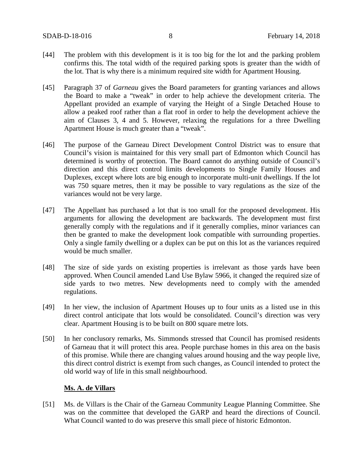- [44] The problem with this development is it is too big for the lot and the parking problem confirms this. The total width of the required parking spots is greater than the width of the lot. That is why there is a minimum required site width for Apartment Housing.
- [45] Paragraph 37 of *Garneau* gives the Board parameters for granting variances and allows the Board to make a "tweak" in order to help achieve the development criteria. The Appellant provided an example of varying the Height of a Single Detached House to allow a peaked roof rather than a flat roof in order to help the development achieve the aim of Clauses 3, 4 and 5. However, relaxing the regulations for a three Dwelling Apartment House is much greater than a "tweak".
- [46] The purpose of the Garneau Direct Development Control District was to ensure that Council's vision is maintained for this very small part of Edmonton which Council has determined is worthy of protection. The Board cannot do anything outside of Council's direction and this direct control limits developments to Single Family Houses and Duplexes, except where lots are big enough to incorporate multi-unit dwellings. If the lot was 750 square metres, then it may be possible to vary regulations as the size of the variances would not be very large.
- [47] The Appellant has purchased a lot that is too small for the proposed development. His arguments for allowing the development are backwards. The development must first generally comply with the regulations and if it generally complies, minor variances can then be granted to make the development look compatible with surrounding properties. Only a single family dwelling or a duplex can be put on this lot as the variances required would be much smaller.
- [48] The size of side yards on existing properties is irrelevant as those yards have been approved. When Council amended Land Use Bylaw 5966, it changed the required size of side yards to two metres. New developments need to comply with the amended regulations.
- [49] In her view, the inclusion of Apartment Houses up to four units as a listed use in this direct control anticipate that lots would be consolidated. Council's direction was very clear. Apartment Housing is to be built on 800 square metre lots.
- [50] In her conclusory remarks, Ms. Simmonds stressed that Council has promised residents of Garneau that it will protect this area. People purchase homes in this area on the basis of this promise. While there are changing values around housing and the way people live, this direct control district is exempt from such changes, as Council intended to protect the old world way of life in this small neighbourhood.

### **Ms. A. de Villars**

[51] Ms. de Villars is the Chair of the Garneau Community League Planning Committee. She was on the committee that developed the GARP and heard the directions of Council. What Council wanted to do was preserve this small piece of historic Edmonton.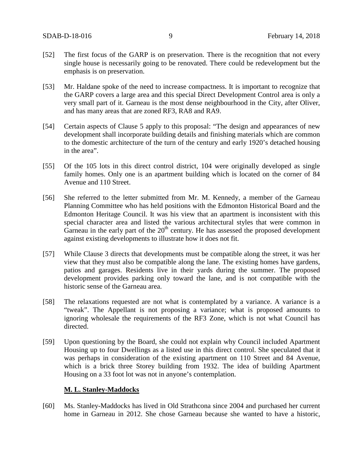- [52] The first focus of the GARP is on preservation. There is the recognition that not every single house is necessarily going to be renovated. There could be redevelopment but the emphasis is on preservation.
- [53] Mr. Haldane spoke of the need to increase compactness. It is important to recognize that the GARP covers a large area and this special Direct Development Control area is only a very small part of it. Garneau is the most dense neighbourhood in the City, after Oliver, and has many areas that are zoned RF3, RA8 and RA9.
- [54] Certain aspects of Clause 5 apply to this proposal: "The design and appearances of new development shall incorporate building details and finishing materials which are common to the domestic architecture of the turn of the century and early 1920's detached housing in the area".
- [55] Of the 105 lots in this direct control district, 104 were originally developed as single family homes. Only one is an apartment building which is located on the corner of 84 Avenue and 110 Street.
- [56] She referred to the letter submitted from Mr. M. Kennedy, a member of the Garneau Planning Committee who has held positions with the Edmonton Historical Board and the Edmonton Heritage Council. It was his view that an apartment is inconsistent with this special character area and listed the various architectural styles that were common in Garneau in the early part of the  $20<sup>th</sup>$  century. He has assessed the proposed development against existing developments to illustrate how it does not fit.
- [57] While Clause 3 directs that developments must be compatible along the street, it was her view that they must also be compatible along the lane. The existing homes have gardens, patios and garages. Residents live in their yards during the summer. The proposed development provides parking only toward the lane, and is not compatible with the historic sense of the Garneau area.
- [58] The relaxations requested are not what is contemplated by a variance. A variance is a "tweak". The Appellant is not proposing a variance; what is proposed amounts to ignoring wholesale the requirements of the RF3 Zone, which is not what Council has directed.
- [59] Upon questioning by the Board, she could not explain why Council included Apartment Housing up to four Dwellings as a listed use in this direct control. She speculated that it was perhaps in consideration of the existing apartment on 110 Street and 84 Avenue, which is a brick three Storey building from 1932. The idea of building Apartment Housing on a 33 foot lot was not in anyone's contemplation.

### **M. L. Stanley-Maddocks**

[60] Ms. Stanley-Maddocks has lived in Old Strathcona since 2004 and purchased her current home in Garneau in 2012. She chose Garneau because she wanted to have a historic,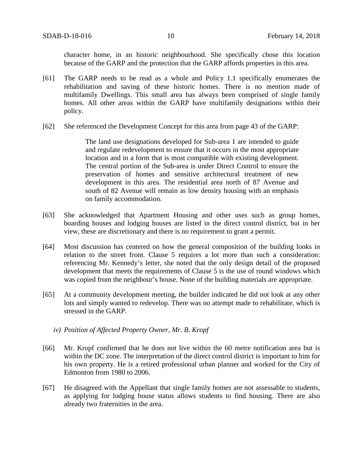character home, in an historic neighbourhood. She specifically chose this location because of the GARP and the protection that the GARP affords properties in this area.

- [61] The GARP needs to be read as a whole and Policy 1.1 specifically enumerates the rehabilitation and saving of these historic homes. There is no mention made of multifamily Dwellings. This small area has always been comprised of single family homes. All other areas within the GARP have multifamily designations within their policy.
- [62] She referenced the Development Concept for this area from page 43 of the GARP:

The land use designations developed for Sub-area 1 are intended to guide and regulate redevelopment to ensure that it occurs in the most appropriate location and in a form that is most compatible with existing development. The central portion of the Sub-area is under Direct Control to ensure the preservation of homes and sensitive architectural treatment of new development in this area. The residential area north of 87 Avenue and south of 82 Avenue will remain as low density housing with an emphasis on family accommodation.

- [63] She acknowledged that Apartment Housing and other uses such as group homes, boarding houses and lodging houses are listed in the direct control district, but in her view, these are discretionary and there is no requirement to grant a permit.
- [64] Most discussion has centered on how the general composition of the building looks in relation to the street front. Clause 5 requires a lot more than such a consideration: referencing Mr. Kennedy's letter, she noted that the only design detail of the proposed development that meets the requirements of Clause 5 is the use of round windows which was copied from the neighbour's house. None of the building materials are appropriate.
- [65] At a community development meeting, the builder indicated he did not look at any other lots and simply wanted to redevelop. There was no attempt made to rehabilitate, which is stressed in the GARP.
	- *iv) Position of Affected Property Owner, Mr. B. Kropf*
- [66] Mr. Kropf confirmed that he does not live within the 60 metre notification area but is within the DC zone. The interpretation of the direct control district is important to him for his own property. He is a retired professional urban planner and worked for the City of Edmonton from 1980 to 2006.
- [67] He disagreed with the Appellant that single family homes are not assessable to students, as applying for lodging house status allows students to find housing. There are also already two fraternities in the area.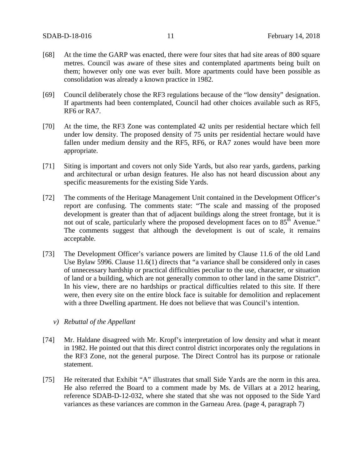- [68] At the time the GARP was enacted, there were four sites that had site areas of 800 square metres. Council was aware of these sites and contemplated apartments being built on them; however only one was ever built. More apartments could have been possible as consolidation was already a known practice in 1982.
- [69] Council deliberately chose the RF3 regulations because of the "low density" designation. If apartments had been contemplated, Council had other choices available such as RF5, RF6 or RA7.
- [70] At the time, the RF3 Zone was contemplated 42 units per residential hectare which fell under low density. The proposed density of 75 units per residential hectare would have fallen under medium density and the RF5, RF6, or RA7 zones would have been more appropriate.
- [71] Siting is important and covers not only Side Yards, but also rear yards, gardens, parking and architectural or urban design features. He also has not heard discussion about any specific measurements for the existing Side Yards.
- [72] The comments of the Heritage Management Unit contained in the Development Officer's report are confusing. The comments state: "The scale and massing of the proposed development is greater than that of adjacent buildings along the street frontage, but it is not out of scale, particularly where the proposed development faces on to  $85<sup>th</sup>$  Avenue." The comments suggest that although the development is out of scale, it remains acceptable.
- [73] The Development Officer's variance powers are limited by Clause 11.6 of the old Land Use Bylaw 5996. Clause 11.6(1) directs that "a variance shall be considered only in cases of unnecessary hardship or practical difficulties peculiar to the use, character, or situation of land or a building, which are not generally common to other land in the same District". In his view, there are no hardships or practical difficulties related to this site. If there were, then every site on the entire block face is suitable for demolition and replacement with a three Dwelling apartment. He does not believe that was Council's intention.

### *v) Rebuttal of the Appellant*

- [74] Mr. Haldane disagreed with Mr. Kropf's interpretation of low density and what it meant in 1982. He pointed out that this direct control district incorporates only the regulations in the RF3 Zone, not the general purpose. The Direct Control has its purpose or rationale statement.
- [75] He reiterated that Exhibit "A" illustrates that small Side Yards are the norm in this area. He also referred the Board to a comment made by Ms. de Villars at a 2012 hearing, reference SDAB-D-12-032, where she stated that she was not opposed to the Side Yard variances as these variances are common in the Garneau Area. (page 4, paragraph 7)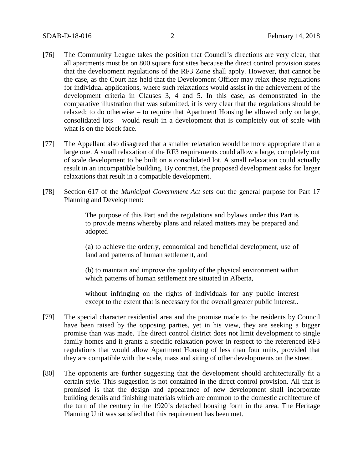- [76] The Community League takes the position that Council's directions are very clear, that all apartments must be on 800 square foot sites because the direct control provision states that the development regulations of the RF3 Zone shall apply. However, that cannot be the case, as the Court has held that the Development Officer may relax these regulations for individual applications, where such relaxations would assist in the achievement of the development criteria in Clauses 3, 4 and 5. In this case, as demonstrated in the comparative illustration that was submitted, it is very clear that the regulations should be relaxed; to do otherwise – to require that Apartment Housing be allowed only on large, consolidated lots – would result in a development that is completely out of scale with what is on the block face.
- [77] The Appellant also disagreed that a smaller relaxation would be more appropriate than a large one. A small relaxation of the RF3 requirements could allow a large, completely out of scale development to be built on a consolidated lot. A small relaxation could actually result in an incompatible building. By contrast, the proposed development asks for larger relaxations that result in a compatible development.
- [78] Section 617 of the *Municipal Government Act* sets out the general purpose for Part 17 Planning and Development:

The purpose of this Part and the regulations and bylaws under this Part is to provide means whereby plans and related matters may be prepared and adopted

(a) to achieve the orderly, economical and beneficial development, use of land and patterns of human settlement, and

(b) to maintain and improve the quality of the physical environment within which patterns of human settlement are situated in Alberta,

without infringing on the rights of individuals for any public interest except to the extent that is necessary for the overall greater public interest..

- [79] The special character residential area and the promise made to the residents by Council have been raised by the opposing parties, yet in his view, they are seeking a bigger promise than was made. The direct control district does not limit development to single family homes and it grants a specific relaxation power in respect to the referenced RF3 regulations that would allow Apartment Housing of less than four units, provided that they are compatible with the scale, mass and siting of other developments on the street.
- [80] The opponents are further suggesting that the development should architecturally fit a certain style. This suggestion is not contained in the direct control provision. All that is promised is that the design and appearance of new development shall incorporate building details and finishing materials which are common to the domestic architecture of the turn of the century in the 1920's detached housing form in the area. The Heritage Planning Unit was satisfied that this requirement has been met.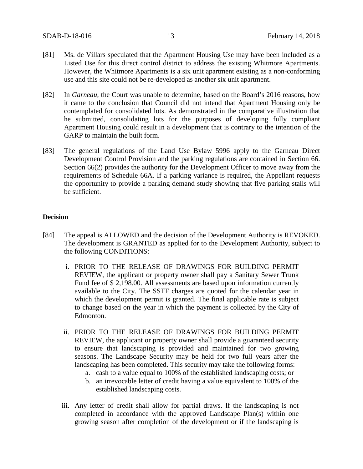- [81] Ms. de Villars speculated that the Apartment Housing Use may have been included as a Listed Use for this direct control district to address the existing Whitmore Apartments. However, the Whitmore Apartments is a six unit apartment existing as a non-conforming use and this site could not be re-developed as another six unit apartment.
- [82] In *Garneau,* the Court was unable to determine, based on the Board's 2016 reasons, how it came to the conclusion that Council did not intend that Apartment Housing only be contemplated for consolidated lots. As demonstrated in the comparative illustration that he submitted, consolidating lots for the purposes of developing fully compliant Apartment Housing could result in a development that is contrary to the intention of the GARP to maintain the built form.
- [83] The general regulations of the Land Use Bylaw 5996 apply to the Garneau Direct Development Control Provision and the parking regulations are contained in Section 66. Section 66(2) provides the authority for the Development Officer to move away from the requirements of Schedule 66A. If a parking variance is required, the Appellant requests the opportunity to provide a parking demand study showing that five parking stalls will be sufficient.

## **Decision**

- [84] The appeal is ALLOWED and the decision of the Development Authority is REVOKED. The development is GRANTED as applied for to the Development Authority, subject to the following CONDITIONS:
	- i. PRIOR TO THE RELEASE OF DRAWINGS FOR BUILDING PERMIT REVIEW, the applicant or property owner shall pay a Sanitary Sewer Trunk Fund fee of \$ 2,198.00. All assessments are based upon information currently available to the City. The SSTF charges are quoted for the calendar year in which the development permit is granted. The final applicable rate is subject to change based on the year in which the payment is collected by the City of Edmonton.
	- ii. PRIOR TO THE RELEASE OF DRAWINGS FOR BUILDING PERMIT REVIEW, the applicant or property owner shall provide a guaranteed security to ensure that landscaping is provided and maintained for two growing seasons. The Landscape Security may be held for two full years after the landscaping has been completed. This security may take the following forms:
		- a. cash to a value equal to 100% of the established landscaping costs; or
		- b. an irrevocable letter of credit having a value equivalent to 100% of the established landscaping costs.
	- iii. Any letter of credit shall allow for partial draws. If the landscaping is not completed in accordance with the approved Landscape Plan(s) within one growing season after completion of the development or if the landscaping is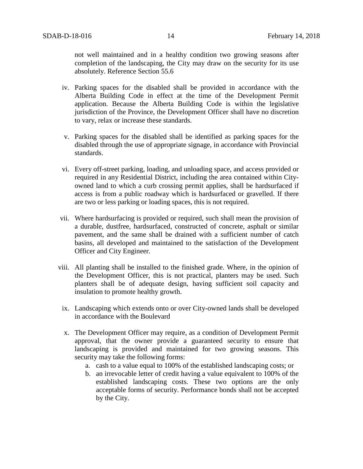not well maintained and in a healthy condition two growing seasons after completion of the landscaping, the City may draw on the security for its use absolutely. Reference Section 55.6

- iv. Parking spaces for the disabled shall be provided in accordance with the Alberta Building Code in effect at the time of the Development Permit application. Because the Alberta Building Code is within the legislative jurisdiction of the Province, the Development Officer shall have no discretion to vary, relax or increase these standards.
- v. Parking spaces for the disabled shall be identified as parking spaces for the disabled through the use of appropriate signage, in accordance with Provincial standards.
- vi. Every off-street parking, loading, and unloading space, and access provided or required in any Residential District, including the area contained within Cityowned land to which a curb crossing permit applies, shall be hardsurfaced if access is from a public roadway which is hardsurfaced or gravelled. If there are two or less parking or loading spaces, this is not required.
- vii. Where hardsurfacing is provided or required, such shall mean the provision of a durable, dustfree, hardsurfaced, constructed of concrete, asphalt or similar pavement, and the same shall be drained with a sufficient number of catch basins, all developed and maintained to the satisfaction of the Development Officer and City Engineer.
- viii. All planting shall be installed to the finished grade. Where, in the opinion of the Development Officer, this is not practical, planters may be used. Such planters shall be of adequate design, having sufficient soil capacity and insulation to promote healthy growth.
	- ix. Landscaping which extends onto or over City-owned lands shall be developed in accordance with the Boulevard
	- x. The Development Officer may require, as a condition of Development Permit approval, that the owner provide a guaranteed security to ensure that landscaping is provided and maintained for two growing seasons. This security may take the following forms:
		- a. cash to a value equal to 100% of the established landscaping costs; or
		- b. an irrevocable letter of credit having a value equivalent to 100% of the established landscaping costs. These two options are the only acceptable forms of security. Performance bonds shall not be accepted by the City.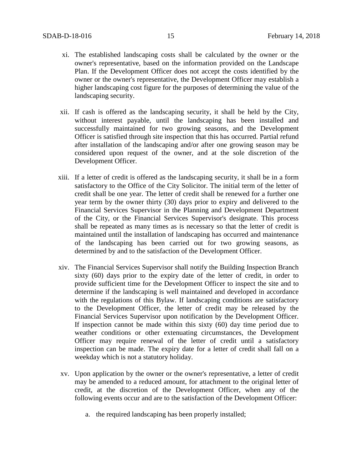- xi. The established landscaping costs shall be calculated by the owner or the owner's representative, based on the information provided on the Landscape Plan. If the Development Officer does not accept the costs identified by the owner or the owner's representative, the Development Officer may establish a higher landscaping cost figure for the purposes of determining the value of the landscaping security.
- xii. If cash is offered as the landscaping security, it shall be held by the City, without interest payable, until the landscaping has been installed and successfully maintained for two growing seasons, and the Development Officer is satisfied through site inspection that this has occurred. Partial refund after installation of the landscaping and/or after one growing season may be considered upon request of the owner, and at the sole discretion of the Development Officer.
- xiii. If a letter of credit is offered as the landscaping security, it shall be in a form satisfactory to the Office of the City Solicitor. The initial term of the letter of credit shall be one year. The letter of credit shall be renewed for a further one year term by the owner thirty (30) days prior to expiry and delivered to the Financial Services Supervisor in the Planning and Development Department of the City, or the Financial Services Supervisor's designate. This process shall be repeated as many times as is necessary so that the letter of credit is maintained until the installation of landscaping has occurred and maintenance of the landscaping has been carried out for two growing seasons, as determined by and to the satisfaction of the Development Officer.
- xiv. The Financial Services Supervisor shall notify the Building Inspection Branch sixty (60) days prior to the expiry date of the letter of credit, in order to provide sufficient time for the Development Officer to inspect the site and to determine if the landscaping is well maintained and developed in accordance with the regulations of this Bylaw. If landscaping conditions are satisfactory to the Development Officer, the letter of credit may be released by the Financial Services Supervisor upon notification by the Development Officer. If inspection cannot be made within this sixty (60) day time period due to weather conditions or other extenuating circumstances, the Development Officer may require renewal of the letter of credit until a satisfactory inspection can be made. The expiry date for a letter of credit shall fall on a weekday which is not a statutory holiday.
- xv. Upon application by the owner or the owner's representative, a letter of credit may be amended to a reduced amount, for attachment to the original letter of credit, at the discretion of the Development Officer, when any of the following events occur and are to the satisfaction of the Development Officer:
	- a. the required landscaping has been properly installed;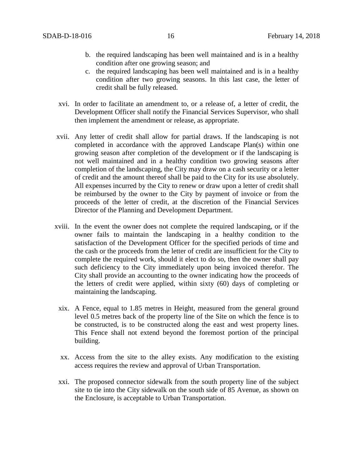- b. the required landscaping has been well maintained and is in a healthy condition after one growing season; and
- c. the required landscaping has been well maintained and is in a healthy condition after two growing seasons. In this last case, the letter of credit shall be fully released.
- xvi. In order to facilitate an amendment to, or a release of, a letter of credit, the Development Officer shall notify the Financial Services Supervisor, who shall then implement the amendment or release, as appropriate.
- xvii. Any letter of credit shall allow for partial draws. If the landscaping is not completed in accordance with the approved Landscape Plan(s) within one growing season after completion of the development or if the landscaping is not well maintained and in a healthy condition two growing seasons after completion of the landscaping, the City may draw on a cash security or a letter of credit and the amount thereof shall be paid to the City for its use absolutely. All expenses incurred by the City to renew or draw upon a letter of credit shall be reimbursed by the owner to the City by payment of invoice or from the proceeds of the letter of credit, at the discretion of the Financial Services Director of the Planning and Development Department.
- xviii. In the event the owner does not complete the required landscaping, or if the owner fails to maintain the landscaping in a healthy condition to the satisfaction of the Development Officer for the specified periods of time and the cash or the proceeds from the letter of credit are insufficient for the City to complete the required work, should it elect to do so, then the owner shall pay such deficiency to the City immediately upon being invoiced therefor. The City shall provide an accounting to the owner indicating how the proceeds of the letters of credit were applied, within sixty (60) days of completing or maintaining the landscaping.
- xix. A Fence, equal to 1.85 metres in Height, measured from the general ground level 0.5 metres back of the property line of the Site on which the fence is to be constructed, is to be constructed along the east and west property lines. This Fence shall not extend beyond the foremost portion of the principal building.
- xx. Access from the site to the alley exists. Any modification to the existing access requires the review and approval of Urban Transportation.
- xxi. The proposed connector sidewalk from the south property line of the subject site to tie into the City sidewalk on the south side of 85 Avenue, as shown on the Enclosure, is acceptable to Urban Transportation.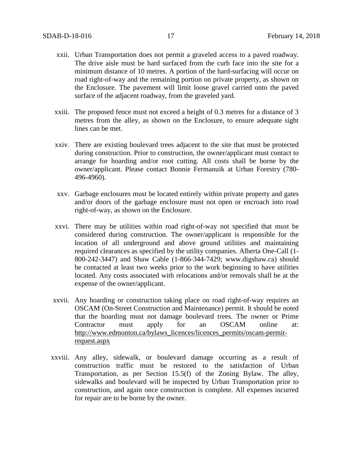- xxii. Urban Transportation does not permit a graveled access to a paved roadway. The drive aisle must be hard surfaced from the curb face into the site for a minimum distance of 10 metres. A portion of the hard-surfacing will occur on road right-of-way and the remaining portion on private property, as shown on the Enclosure. The pavement will limit loose gravel carried onto the paved surface of the adjacent roadway, from the graveled yard.
- xxiii. The proposed fence must not exceed a height of 0.3 metres for a distance of 3 metres from the alley, as shown on the Enclosure, to ensure adequate sight lines can be met.
- xxiv. There are existing boulevard trees adjacent to the site that must be protected during construction. Prior to construction, the owner/applicant must contact to arrange for hoarding and/or root cutting. All costs shall be borne by the owner/applicant. Please contact Bonnie Fermanuik at Urban Forestry (780- 496-4960).
- xxv. Garbage enclosures must be located entirely within private property and gates and/or doors of the garbage enclosure must not open or encroach into road right-of-way, as shown on the Enclosure.
- xxvi. There may be utilities within road right-of-way not specified that must be considered during construction. The owner/applicant is responsible for the location of all underground and above ground utilities and maintaining required clearances as specified by the utility companies. Alberta One-Call (1- 800-242-3447) and Shaw Cable (1-866-344-7429; www.digshaw.ca) should be contacted at least two weeks prior to the work beginning to have utilities located. Any costs associated with relocations and/or removals shall be at the expense of the owner/applicant.
- xxvii. Any hoarding or construction taking place on road right-of-way requires an OSCAM (On-Street Construction and Maintenance) permit. It should be noted that the hoarding must not damage boulevard trees. The owner or Prime Contractor must apply for an OSCAM online at: [http://www.edmonton.ca/bylaws\\_licences/licences\\_permits/oscam-permit](http://www.edmonton.ca/bylaws_licences/licences_permits/oscam-permit-request.aspx)[request.aspx](http://www.edmonton.ca/bylaws_licences/licences_permits/oscam-permit-request.aspx)
- xxviii. Any alley, sidewalk, or boulevard damage occurring as a result of construction traffic must be restored to the satisfaction of Urban Transportation, as per Section 15.5(f) of the Zoning Bylaw. The alley, sidewalks and boulevard will be inspected by Urban Transportation prior to construction, and again once construction is complete. All expenses incurred for repair are to be borne by the owner.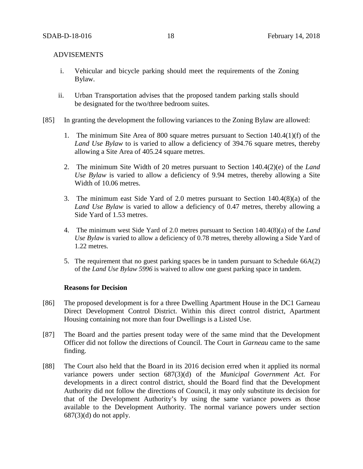## ADVISEMENTS

- i. Vehicular and bicycle parking should meet the requirements of the Zoning Bylaw.
- ii. Urban Transportation advises that the proposed tandem parking stalls should be designated for the two/three bedroom suites.
- [85] In granting the development the following variances to the Zoning Bylaw are allowed:
	- 1. The minimum Site Area of 800 square metres pursuant to Section 140.4(1)(f) of the *Land Use Bylaw* to is varied to allow a deficiency of 394.76 square metres, thereby allowing a Site Area of 405.24 square metres.
	- 2. The minimum Site Width of 20 metres pursuant to Section 140.4(2)(e) of the *Land Use Bylaw* is varied to allow a deficiency of 9.94 metres, thereby allowing a Site Width of 10.06 metres.
	- 3. The minimum east Side Yard of 2.0 metres pursuant to Section 140.4(8)(a) of the *Land Use Bylaw* is varied to allow a deficiency of 0.47 metres, thereby allowing a Side Yard of 1.53 metres.
	- 4. The minimum west Side Yard of 2.0 metres pursuant to Section 140.4(8)(a) of the *Land Use Bylaw* is varied to allow a deficiency of 0.78 metres, thereby allowing a Side Yard of 1.22 metres.
	- 5. The requirement that no guest parking spaces be in tandem pursuant to Schedule 66A(2) of the *Land Use Bylaw 5996* is waived to allow one guest parking space in tandem.

### **Reasons for Decision**

- [86] The proposed development is for a three Dwelling Apartment House in the DC1 Garneau Direct Development Control District. Within this direct control district, Apartment Housing containing not more than four Dwellings is a Listed Use.
- [87] The Board and the parties present today were of the same mind that the Development Officer did not follow the directions of Council. The Court in *Garneau* came to the same finding.
- [88] The Court also held that the Board in its 2016 decision erred when it applied its normal variance powers under section 687(3)(d) of the *Municipal Government Act.* For developments in a direct control district, should the Board find that the Development Authority did not follow the directions of Council, it may only substitute its decision for that of the Development Authority's by using the same variance powers as those available to the Development Authority. The normal variance powers under section  $687(3)(d)$  do not apply.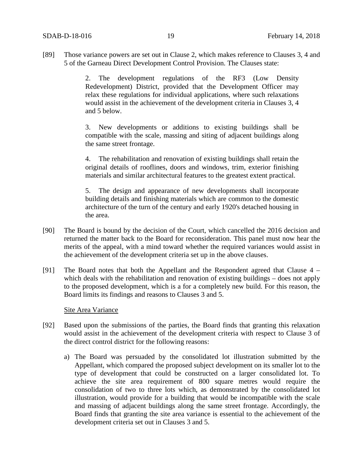[89] Those variance powers are set out in Clause 2, which makes reference to Clauses 3, 4 and 5 of the Garneau Direct Development Control Provision. The Clauses state:

> 2. The development regulations of the RF3 (Low Density Redevelopment) District, provided that the Development Officer may relax these regulations for individual applications, where such relaxations would assist in the achievement of the development criteria in Clauses 3, 4 and 5 below.

> 3. New developments or additions to existing buildings shall be compatible with the scale, massing and siting of adjacent buildings along the same street frontage.

> 4. The rehabilitation and renovation of existing buildings shall retain the original details of rooflines, doors and windows, trim, exterior finishing materials and similar architectural features to the greatest extent practical.

> 5. The design and appearance of new developments shall incorporate building details and finishing materials which are common to the domestic architecture of the turn of the century and early 1920's detached housing in the area.

- [90] The Board is bound by the decision of the Court, which cancelled the 2016 decision and returned the matter back to the Board for reconsideration. This panel must now hear the merits of the appeal, with a mind toward whether the required variances would assist in the achievement of the development criteria set up in the above clauses.
- [91] The Board notes that both the Appellant and the Respondent agreed that Clause 4 which deals with the rehabilitation and renovation of existing buildings – does not apply to the proposed development, which is a for a completely new build. For this reason, the Board limits its findings and reasons to Clauses 3 and 5.

### Site Area Variance

- [92] Based upon the submissions of the parties, the Board finds that granting this relaxation would assist in the achievement of the development criteria with respect to Clause 3 of the direct control district for the following reasons:
	- a) The Board was persuaded by the consolidated lot illustration submitted by the Appellant, which compared the proposed subject development on its smaller lot to the type of development that could be constructed on a larger consolidated lot. To achieve the site area requirement of 800 square metres would require the consolidation of two to three lots which, as demonstrated by the consolidated lot illustration, would provide for a building that would be incompatible with the scale and massing of adjacent buildings along the same street frontage. Accordingly, the Board finds that granting the site area variance is essential to the achievement of the development criteria set out in Clauses 3 and 5.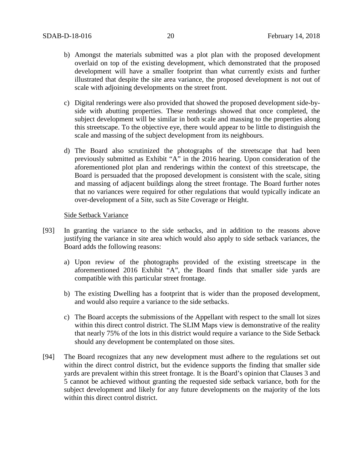- b) Amongst the materials submitted was a plot plan with the proposed development overlaid on top of the existing development, which demonstrated that the proposed development will have a smaller footprint than what currently exists and further illustrated that despite the site area variance, the proposed development is not out of scale with adjoining developments on the street front.
- c) Digital renderings were also provided that showed the proposed development side-byside with abutting properties. These renderings showed that once completed, the subject development will be similar in both scale and massing to the properties along this streetscape. To the objective eye, there would appear to be little to distinguish the scale and massing of the subject development from its neighbours.
- d) The Board also scrutinized the photographs of the streetscape that had been previously submitted as Exhibit "A" in the 2016 hearing. Upon consideration of the aforementioned plot plan and renderings within the context of this streetscape, the Board is persuaded that the proposed development is consistent with the scale, siting and massing of adjacent buildings along the street frontage. The Board further notes that no variances were required for other regulations that would typically indicate an over-development of a Site, such as Site Coverage or Height.

#### Side Setback Variance

- [93] In granting the variance to the side setbacks, and in addition to the reasons above justifying the variance in site area which would also apply to side setback variances, the Board adds the following reasons:
	- a) Upon review of the photographs provided of the existing streetscape in the aforementioned 2016 Exhibit "A", the Board finds that smaller side yards are compatible with this particular street frontage.
	- b) The existing Dwelling has a footprint that is wider than the proposed development, and would also require a variance to the side setbacks.
	- c) The Board accepts the submissions of the Appellant with respect to the small lot sizes within this direct control district. The SLIM Maps view is demonstrative of the reality that nearly 75% of the lots in this district would require a variance to the Side Setback should any development be contemplated on those sites.
- [94] The Board recognizes that any new development must adhere to the regulations set out within the direct control district, but the evidence supports the finding that smaller side yards are prevalent within this street frontage. It is the Board's opinion that Clauses 3 and 5 cannot be achieved without granting the requested side setback variance, both for the subject development and likely for any future developments on the majority of the lots within this direct control district.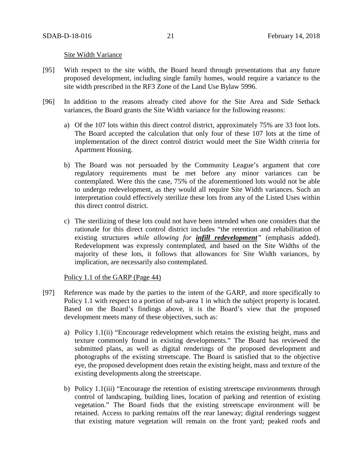#### Site Width Variance

- [95] With respect to the site width, the Board heard through presentations that any future proposed development, including single family homes, would require a variance to the site width prescribed in the RF3 Zone of the Land Use Bylaw 5996.
- [96] In addition to the reasons already cited above for the Site Area and Side Setback variances, the Board grants the Site Width variance for the following reasons:
	- a) Of the 107 lots within this direct control district, approximately 75% are 33 foot lots. The Board accepted the calculation that only four of these 107 lots at the time of implementation of the direct control district would meet the Site Width criteria for Apartment Housing.
	- b) The Board was not persuaded by the Community League's argument that core regulatory requirements must be met before any minor variances can be contemplated. Were this the case, 75% of the aforementioned lots would not be able to undergo redevelopment, as they would all require Site Width variances. Such an interpretation could effectively sterilize these lots from any of the Listed Uses within this direct control district.
	- c) The sterilizing of these lots could not have been intended when one considers that the rationale for this direct control district includes "the retention and rehabilitation of existing structures *while allowing for infill redevelopment"* (emphasis added). Redevelopment was expressly contemplated, and based on the Site Widths of the majority of these lots, it follows that allowances for Site Width variances, by implication, are necessarily also contemplated.

### Policy 1.1 of the GARP (Page 44)

- [97] Reference was made by the parties to the intent of the GARP, and more specifically to Policy 1.1 with respect to a portion of sub-area 1 in which the subject property is located. Based on the Board's findings above, it is the Board's view that the proposed development meets many of these objectives, such as:
	- a) Policy 1.1(ii) "Encourage redevelopment which retains the existing height, mass and texture commonly found in existing developments." The Board has reviewed the submitted plans, as well as digital renderings of the proposed development and photographs of the existing streetscape. The Board is satisfied that to the objective eye, the proposed development does retain the existing height, mass and texture of the existing developments along the streetscape.
	- b) Policy 1.1(iii) "Encourage the retention of existing streetscape environments through control of landscaping, building lines, location of parking and retention of existing vegetation." The Board finds that the existing streetscape environment will be retained. Access to parking remains off the rear laneway; digital renderings suggest that existing mature vegetation will remain on the front yard; peaked roofs and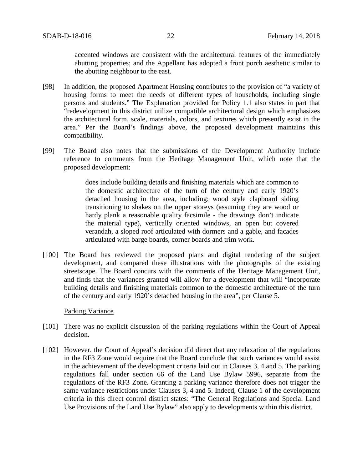accented windows are consistent with the architectural features of the immediately abutting properties; and the Appellant has adopted a front porch aesthetic similar to the abutting neighbour to the east.

- [98] In addition, the proposed Apartment Housing contributes to the provision of "a variety of housing forms to meet the needs of different types of households, including single persons and students." The Explanation provided for Policy 1.1 also states in part that "redevelopment in this district utilize compatible architectural design which emphasizes the architectural form, scale, materials, colors, and textures which presently exist in the area." Per the Board's findings above, the proposed development maintains this compatibility.
- [99] The Board also notes that the submissions of the Development Authority include reference to comments from the Heritage Management Unit, which note that the proposed development:

does include building details and finishing materials which are common to the domestic architecture of the turn of the century and early 1920's detached housing in the area, including: wood style clapboard siding transitioning to shakes on the upper storeys (assuming they are wood or hardy plank a reasonable quality facsimile - the drawings don't indicate the material type), vertically oriented windows, an open but covered verandah, a sloped roof articulated with dormers and a gable, and facades articulated with barge boards, corner boards and trim work.

[100] The Board has reviewed the proposed plans and digital rendering of the subject development, and compared these illustrations with the photographs of the existing streetscape. The Board concurs with the comments of the Heritage Management Unit, and finds that the variances granted will allow for a development that will "incorporate building details and finishing materials common to the domestic architecture of the turn of the century and early 1920's detached housing in the area", per Clause 5.

#### Parking Variance

- [101] There was no explicit discussion of the parking regulations within the Court of Appeal decision.
- [102] However, the Court of Appeal's decision did direct that any relaxation of the regulations in the RF3 Zone would require that the Board conclude that such variances would assist in the achievement of the development criteria laid out in Clauses 3, 4 and 5. The parking regulations fall under section 66 of the Land Use Bylaw 5996, separate from the regulations of the RF3 Zone. Granting a parking variance therefore does not trigger the same variance restrictions under Clauses 3, 4 and 5. Indeed, Clause 1 of the development criteria in this direct control district states: "The General Regulations and Special Land Use Provisions of the Land Use Bylaw" also apply to developments within this district.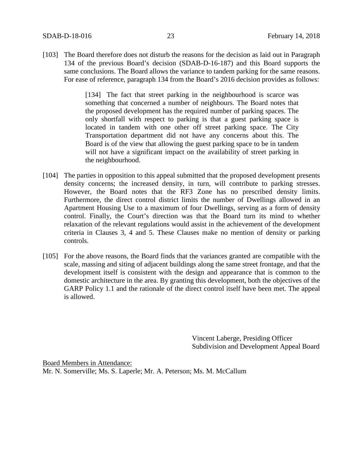[103] The Board therefore does not disturb the reasons for the decision as laid out in Paragraph 134 of the previous Board's decision (SDAB-D-16-187) and this Board supports the same conclusions. The Board allows the variance to tandem parking for the same reasons. For ease of reference, paragraph 134 from the Board's 2016 decision provides as follows:

> [134] The fact that street parking in the neighbourhood is scarce was something that concerned a number of neighbours. The Board notes that the proposed development has the required number of parking spaces. The only shortfall with respect to parking is that a guest parking space is located in tandem with one other off street parking space. The City Transportation department did not have any concerns about this. The Board is of the view that allowing the guest parking space to be in tandem will not have a significant impact on the availability of street parking in the neighbourhood.

- [104] The parties in opposition to this appeal submitted that the proposed development presents density concerns; the increased density, in turn, will contribute to parking stresses. However, the Board notes that the RF3 Zone has no prescribed density limits. Furthermore, the direct control district limits the number of Dwellings allowed in an Apartment Housing Use to a maximum of four Dwellings, serving as a form of density control. Finally, the Court's direction was that the Board turn its mind to whether relaxation of the relevant regulations would assist in the achievement of the development criteria in Clauses 3, 4 and 5. These Clauses make no mention of density or parking controls.
- [105] For the above reasons, the Board finds that the variances granted are compatible with the scale, massing and siting of adjacent buildings along the same street frontage, and that the development itself is consistent with the design and appearance that is common to the domestic architecture in the area. By granting this development, both the objectives of the GARP Policy 1.1 and the rationale of the direct control itself have been met. The appeal is allowed.

Vincent Laberge, Presiding Officer Subdivision and Development Appeal Board

Board Members in Attendance: Mr. N. Somerville; Ms. S. Laperle; Mr. A. Peterson; Ms. M. McCallum